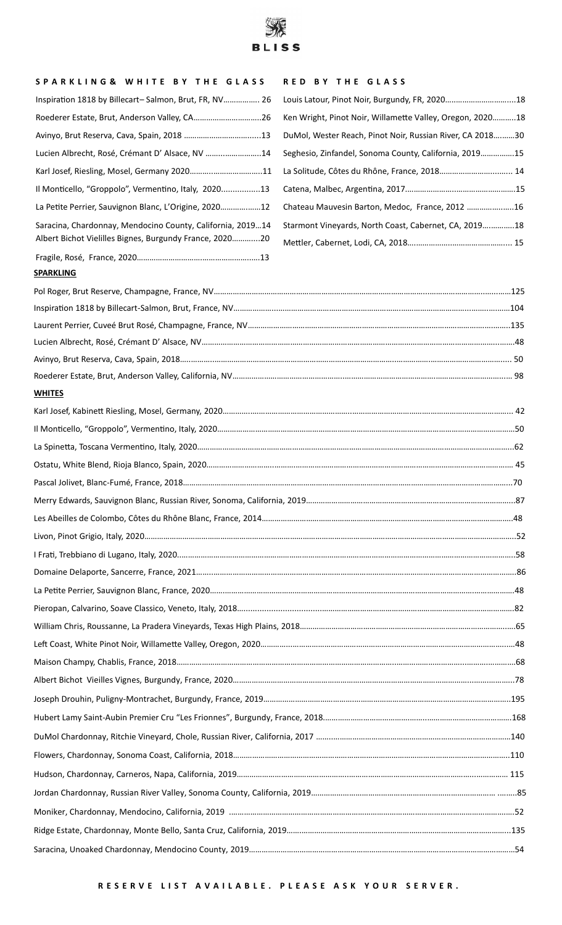

## **S P A R K L I N G & W H I T E B Y T H E G L A S S R E D B Y T H E G L A S S**

| Inspiration 1818 by Billecart-Salmon, Brut, FR, NV 26      |                                                           |
|------------------------------------------------------------|-----------------------------------------------------------|
|                                                            | Ken Wright, Pinot Noir, Willamette Valley, Oregon, 202018 |
| Avinyo, Brut Reserva, Cava, Spain, 2018 13                 | DuMol, Wester Reach, Pinot Noir, Russian River, CA 201830 |
| Lucien Albrecht, Rosé, Crémant D' Alsace, NV 14            | Seghesio, Zinfandel, Sonoma County, California, 201915    |
|                                                            |                                                           |
| Il Monticello, "Groppolo", Vermentino, Italy, 202013       |                                                           |
| La Petite Perrier, Sauvignon Blanc, L'Origine, 202012      | Chateau Mauvesin Barton, Medoc, France, 2012 16           |
| Saracina, Chardonnay, Mendocino County, California, 201914 | Starmont Vineyards, North Coast, Cabernet, CA, 201918     |
| Albert Bichot Vielilles Bignes, Burgundy France, 202020    |                                                           |
|                                                            |                                                           |

## **SPARKLING**

## **WHITES**